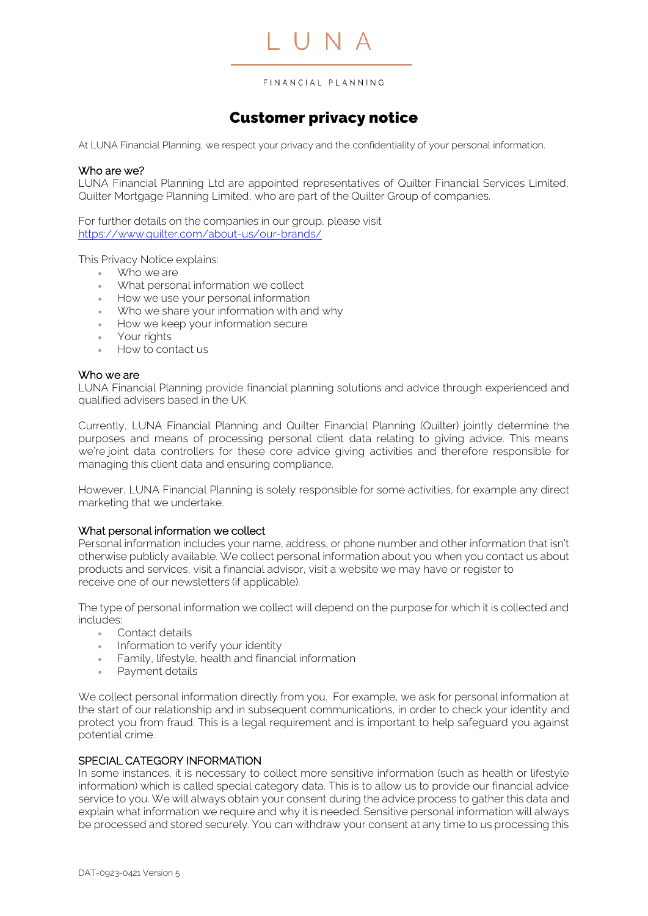

IUNA

# Customer privacy notice

At LUNA Financial Planning, we respect your privacy and the confidentiality of your personal information.

#### Who are we?

LUNA Financial Planning Ltd are appointed representatives of Quilter Financial Services Limited, Quilter Mortgage Planning Limited, who are part of the Quilter Group of companies.

For further details on the companies in our group, please visit <https://www.quilter.com/about-us/our-brands/>

This Privacy Notice explains:

- Who we are
- What personal information we collect
- How we use your personal information
- Who we share your information with and why
- How we keep your information secure
- Your rights
- How to contact us

#### Who we are

LUNA Financial Planning provide financial planning solutions and advice through experienced and qualified advisers based in the UK.

Currently, LUNA Financial Planning and Quilter Financial Planning (Quilter) jointly determine the purposes and means of processing personal client data relating to giving advice. This means we're joint data controllers for these core advice giving activities and therefore responsible for managing this client data and ensuring compliance.

However, LUNA Financial Planning is solely responsible for some activities, for example any direct marketing that we undertake.

#### What personal information we collect

Personal information includes your name, address, or phone number and other information that isn't otherwise publicly available. We collect personal information about you when you contact us about products and services, visit a financial advisor, visit a website we may have or register to receive one of our newsletters (if applicable).

The type of personal information we collect will depend on the purpose for which it is collected and includes:

- Contact details
- Information to verify your identity
- Family, lifestyle, health and financial information
- Payment details

We collect personal information directly from you. For example, we ask for personal information at the start of our relationship and in subsequent communications, in order to check your identity and protect you from fraud. This is a legal requirement and is important to help safeguard you against potential crime.

# SPECIAL CATEGORY INFORMATION

In some instances, it is necessary to collect more sensitive information (such as health or lifestyle information) which is called special category data. This is to allow us to provide our financial advice service to you. We will always obtain your consent during the advice process to gather this data and explain what information we require and why it is needed. Sensitive personal information will always be processed and stored securely. You can withdraw your consent at any time to us processing this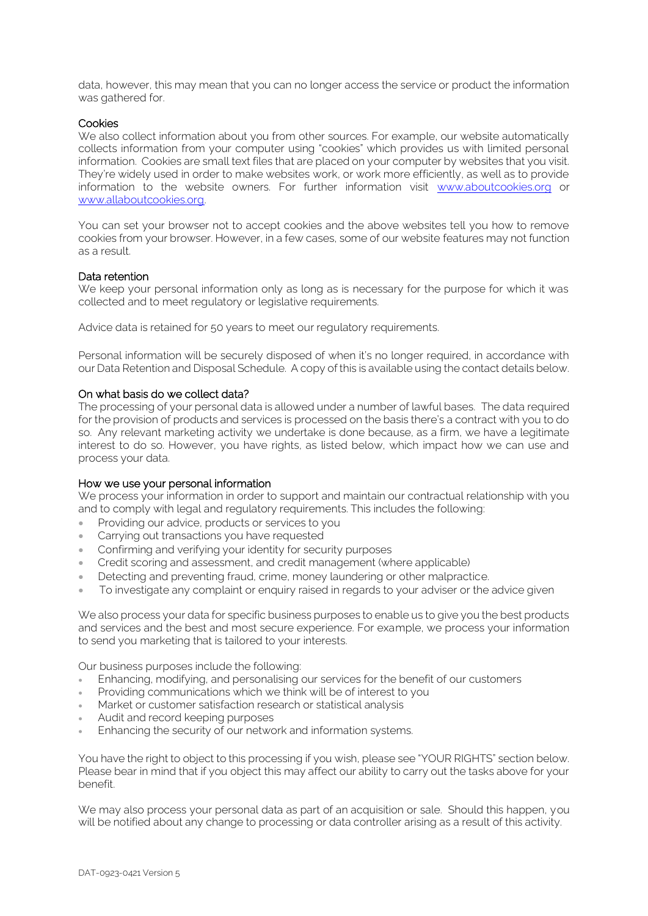data, however, this may mean that you can no longer access the service or product the information was gathered for.

#### **Cookies**

We also collect information about you from other sources. For example, our website automatically collects information from your computer using "cookies" which provides us with limited personal information. Cookies are small text files that are placed on your computer by websites that you visit. They're widely used in order to make websites work, or work more efficiently, as well as to provide information to the website owners. For further information visit [www.aboutcookies.org](http://www.aboutcookies.org/) or [www.allaboutcookies.org.](http://www.allaboutcookies.org/) 

You can set your browser not to accept cookies and the above websites tell you how to remove cookies from your browser. However, in a few cases, some of our website features may not function as a result.

#### Data retention

We keep your personal information only as long as is necessary for the purpose for which it was collected and to meet regulatory or legislative requirements.

Advice data is retained for 50 years to meet our regulatory requirements.

Personal information will be securely disposed of when it's no longer required, in accordance with our Data Retention and Disposal Schedule. A copy of this is available using the contact details below.

#### On what basis do we collect data?

The processing of your personal data is allowed under a number of lawful bases. The data required for the provision of products and services is processed on the basis there's a contract with you to do so. Any relevant marketing activity we undertake is done because, as a firm, we have a legitimate interest to do so. However, you have rights, as listed below, which impact how we can use and process your data.

# How we use your personal information

We process your information in order to support and maintain our contractual relationship with you and to comply with legal and regulatory requirements. This includes the following:

- Providing our advice, products or services to you
- Carrying out transactions you have requested
- Confirming and verifying your identity for security purposes
- Credit scoring and assessment, and credit management (where applicable)
- Detecting and preventing fraud, crime, money laundering or other malpractice.
- To investigate any complaint or enquiry raised in regards to your adviser or the advice given

We also process your data for specific business purposes to enable us to give you the best products and services and the best and most secure experience. For example, we process your information to send you marketing that is tailored to your interests.

Our business purposes include the following:

- Enhancing, modifying, and personalising our services for the benefit of our customers
- Providing communications which we think will be of interest to you
- Market or customer satisfaction research or statistical analysis
- Audit and record keeping purposes
- Enhancing the security of our network and information systems.

You have the right to object to this processing if you wish, please see "YOUR RIGHTS" section below. Please bear in mind that if you object this may affect our ability to carry out the tasks above for your benefit.

We may also process your personal data as part of an acquisition or sale. Should this happen, you will be notified about any change to processing or data controller arising as a result of this activity.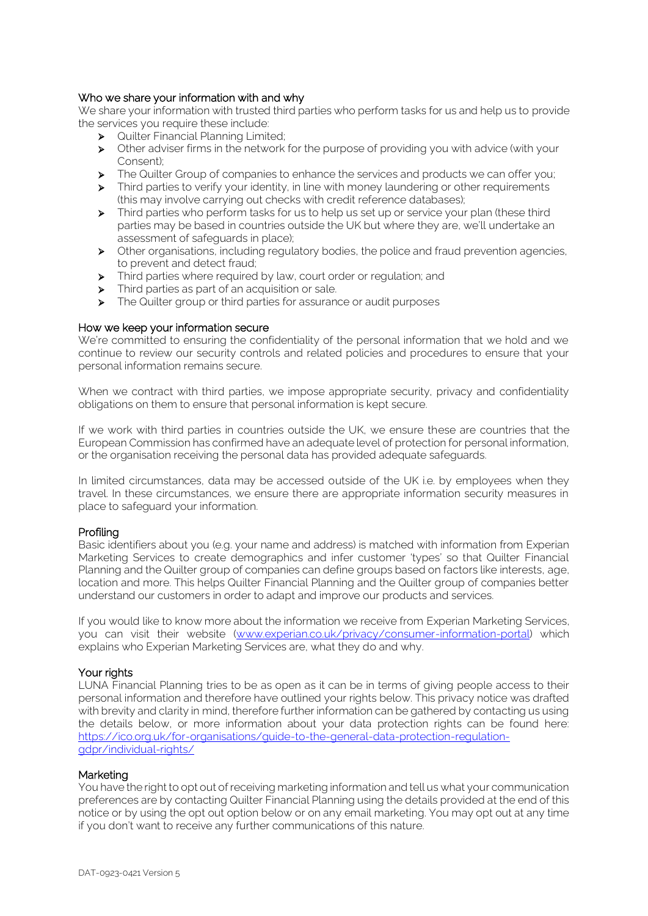# Who we share your information with and why

We share your information with trusted third parties who perform tasks for us and help us to provide the services you require these include:

- ➢ Quilter Financial Planning Limited;
- ➢ Other adviser firms in the network for the purpose of providing you with advice (with your Consent);
- ➢ The Quilter Group of companies to enhance the services and products we can offer you;
- ➢ Third parties to verify your identity, in line with money laundering or other requirements (this may involve carrying out checks with credit reference databases);
- ➢ Third parties who perform tasks for us to help us set up or service your plan (these third parties may be based in countries outside the UK but where they are, we'll undertake an assessment of safeguards in place);
- ➢ Other organisations, including regulatory bodies, the police and fraud prevention agencies, to prevent and detect fraud;
- ➢ Third parties where required by law, court order or regulation; and
- ➢ Third parties as part of an acquisition or sale.
- ➢ The Quilter group or third parties for assurance or audit purposes

#### How we keep your information secure

We're committed to ensuring the confidentiality of the personal information that we hold and we continue to review our security controls and related policies and procedures to ensure that your personal information remains secure.

When we contract with third parties, we impose appropriate security, privacy and confidentiality obligations on them to ensure that personal information is kept secure.

If we work with third parties in countries outside the UK, we ensure these are countries that the European Commission has confirmed have an adequate level of protection for personal information, or the organisation receiving the personal data has provided adequate safeguards.

In limited circumstances, data may be accessed outside of the UK i.e. by employees when they travel. In these circumstances, we ensure there are appropriate information security measures in place to safeguard your information.

#### Profiling

Basic identifiers about you (e.g. your name and address) is matched with information from Experian Marketing Services to create demographics and infer customer 'types' so that Quilter Financial Planning and the Quilter group of companies can define groups based on factors like interests, age, location and more. This helps Quilter Financial Planning and the Quilter group of companies better understand our customers in order to adapt and improve our products and services.

If you would like to know more about the information we receive from Experian Marketing Services, you can visit their website [\(www.experian.co.uk/privacy/consumer-information-portal\)](https://www.experian.co.uk/privacy/consumer-information-portal) which explains who Experian Marketing Services are, what they do and why.

# Your rights

LUNA Financial Planning tries to be as open as it can be in terms of giving people access to their personal information and therefore have outlined your rights below. This privacy notice was drafted with brevity and clarity in mind, therefore further information can be gathered by contacting us using the details below, or more information about your data protection rights can be found here: [https://ico.org.uk/for-organisations/guide-to-the-general-data-protection-regulation](https://ico.org.uk/for-organisations/guide-to-the-general-data-protection-regulation-gdpr/individual-rights/)[gdpr/individual-rights/](https://ico.org.uk/for-organisations/guide-to-the-general-data-protection-regulation-gdpr/individual-rights/)

#### Marketing

You have the right to opt out of receiving marketing information and tell us what your communication preferences are by contacting Quilter Financial Planning using the details provided at the end of this notice or by using the opt out option below or on any email marketing. You may opt out at any time if you don't want to receive any further communications of this nature.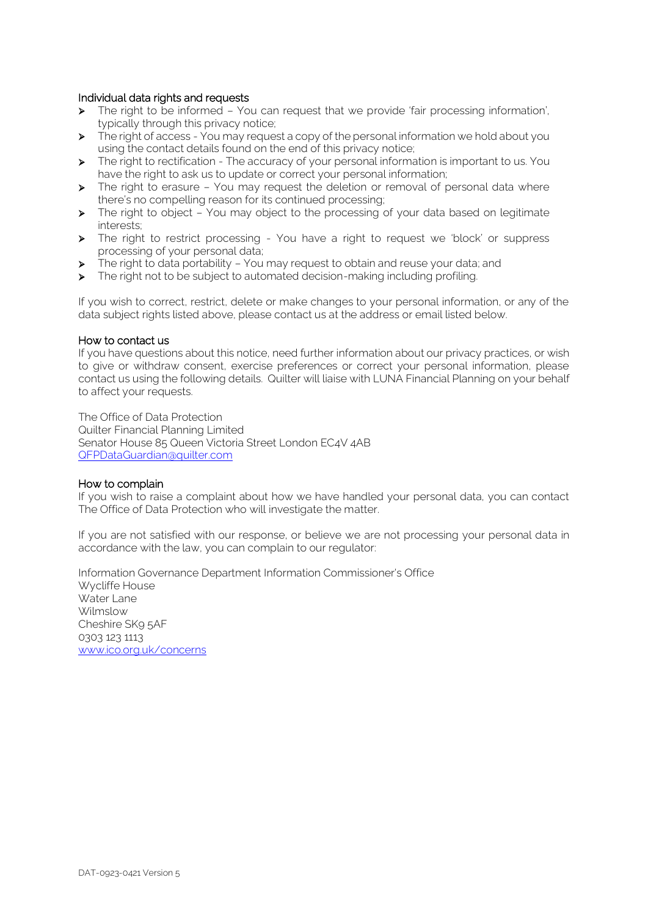# Individual data rights and requests

- ➢ The right to be informed You can request that we provide 'fair processing information', typically through this privacy notice;
- ➢ The right of access You may request a copy of the personal information we hold about you using the contact details found on the end of this privacy notice;
- ➢ The right to rectification The accuracy of your personal information is important to us. You have the right to ask us to update or correct your personal information;
- ➢ The right to erasure You may request the deletion or removal of personal data where there's no compelling reason for its continued processing;
- ➢ The right to object You may object to the processing of your data based on legitimate interests;
- ➢ The right to restrict processing You have a right to request we 'block' or suppress processing of your personal data;
- ➢ The right to data portability You may request to obtain and reuse your data; and
- ➢ The right not to be subject to automated decision-making including profiling.

If you wish to correct, restrict, delete or make changes to your personal information, or any of the data subject rights listed above, please contact us at the address or email listed below.

#### How to contact us

If you have questions about this notice, need further information about our privacy practices, or wish to give or withdraw consent, exercise preferences or correct your personal information, please contact us using the following details. Quilter will liaise with LUNA Financial Planning on your behalf to affect your requests.

The Office of Data Protection Quilter Financial Planning Limited Senator House 85 Queen Victoria Street London EC4V 4AB [QFPDataGuardian@quilter.com](mailto:QFPDataGuardian@quilter.com)

#### How to complain

If you wish to raise a complaint about how we have handled your personal data, you can contact The Office of Data Protection who will investigate the matter.

If you are not satisfied with our response, or believe we are not processing your personal data in accordance with the law, you can complain to our regulator:

Information Governance Department Information Commissioner's Office Wycliffe House Water Lane Wilmslow Cheshire SK9 5AF 0303 123 1113 www.ico.org.uk/concerns